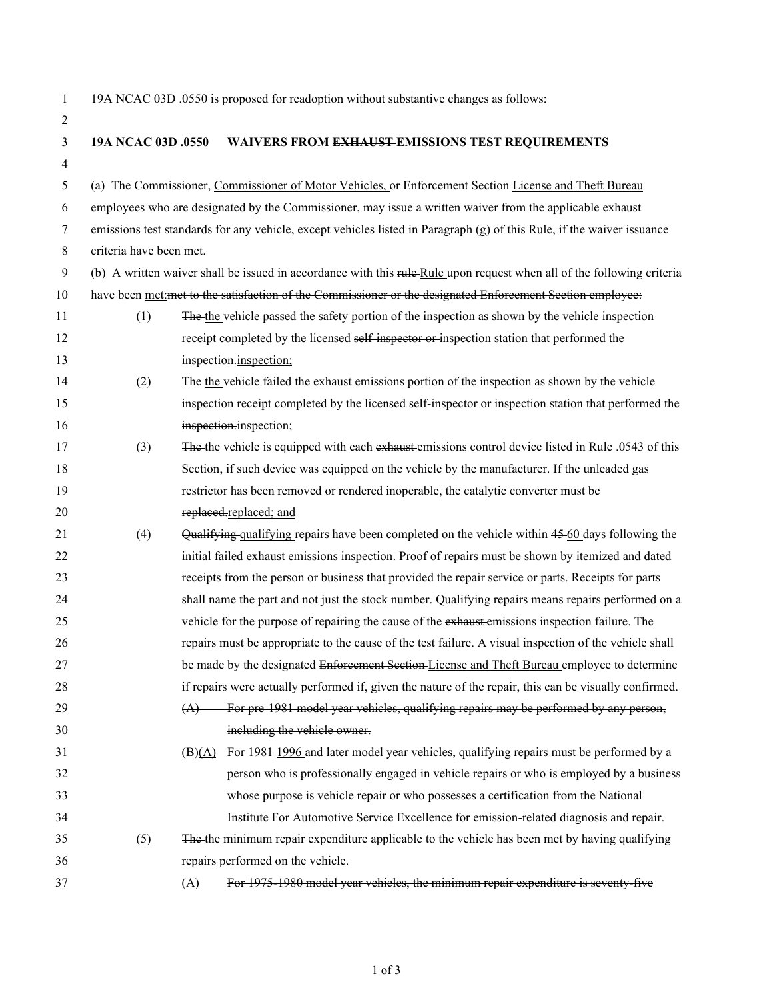|  |  | 19A NCAC 03D .0550 is proposed for readoption without substantive changes as follows: |  |
|--|--|---------------------------------------------------------------------------------------|--|
|  |  |                                                                                       |  |

| 3              | 19A NCAC 03D .0550                                                                                         | WAIVERS FROM EXHAUST EMISSIONS TEST REQUIREMENTS                                                                       |  |  |  |
|----------------|------------------------------------------------------------------------------------------------------------|------------------------------------------------------------------------------------------------------------------------|--|--|--|
| $\overline{4}$ |                                                                                                            |                                                                                                                        |  |  |  |
| 5              |                                                                                                            | (a) The Commissioner, Commissioner of Motor Vehicles, or Enforcement Section License and Theft Bureau                  |  |  |  |
| 6              |                                                                                                            | employees who are designated by the Commissioner, may issue a written waiver from the applicable exhaust               |  |  |  |
| $\tau$         |                                                                                                            | emissions test standards for any vehicle, except vehicles listed in Paragraph (g) of this Rule, if the waiver issuance |  |  |  |
| 8              | criteria have been met.                                                                                    |                                                                                                                        |  |  |  |
| 9              |                                                                                                            | (b) A written waiver shall be issued in accordance with this rule Rule upon request when all of the following criteria |  |  |  |
| 10             |                                                                                                            | have been met:met to the satisfaction of the Commissioner or the designated Enforcement Section employee:              |  |  |  |
| 11             | (1)                                                                                                        | The the vehicle passed the safety portion of the inspection as shown by the vehicle inspection                         |  |  |  |
| 12             |                                                                                                            | receipt completed by the licensed self-inspector or-inspection station that performed the                              |  |  |  |
| 13             |                                                                                                            | inspection.inspection;                                                                                                 |  |  |  |
| 14             | (2)                                                                                                        | The the vehicle failed the exhaust emissions portion of the inspection as shown by the vehicle                         |  |  |  |
| 15             |                                                                                                            | inspection receipt completed by the licensed self-inspector or-inspection station that performed the                   |  |  |  |
| 16             |                                                                                                            | inspection.inspection;                                                                                                 |  |  |  |
| 17             | The the vehicle is equipped with each exhaust emissions control device listed in Rule .0543 of this<br>(3) |                                                                                                                        |  |  |  |
| 18             |                                                                                                            | Section, if such device was equipped on the vehicle by the manufacturer. If the unleaded gas                           |  |  |  |
| 19             |                                                                                                            | restrictor has been removed or rendered inoperable, the catalytic converter must be                                    |  |  |  |
| 20             |                                                                                                            | replaced.replaced; and                                                                                                 |  |  |  |
| 21             | (4)                                                                                                        | Qualifying qualifying repairs have been completed on the vehicle within 45-60 days following the                       |  |  |  |
| 22             |                                                                                                            | initial failed exhaust-emissions inspection. Proof of repairs must be shown by itemized and dated                      |  |  |  |
| 23             |                                                                                                            | receipts from the person or business that provided the repair service or parts. Receipts for parts                     |  |  |  |
| 24             |                                                                                                            | shall name the part and not just the stock number. Qualifying repairs means repairs performed on a                     |  |  |  |
| 25             |                                                                                                            | vehicle for the purpose of repairing the cause of the exhaust emissions inspection failure. The                        |  |  |  |
| 26             |                                                                                                            | repairs must be appropriate to the cause of the test failure. A visual inspection of the vehicle shall                 |  |  |  |
| 27             |                                                                                                            | be made by the designated Enforcement Section-License and Theft Bureau employee to determine                           |  |  |  |
| 28             |                                                                                                            | if repairs were actually performed if, given the nature of the repair, this can be visually confirmed.                 |  |  |  |
| 29             |                                                                                                            | For pre 1981 model year vehicles, qualifying repairs may be performed by any person,<br>(A)                            |  |  |  |
| 30             |                                                                                                            | including the vehicle owner.                                                                                           |  |  |  |
| 31             |                                                                                                            | For 1981–1996 and later model year vehicles, qualifying repairs must be performed by a<br>$\overline{(B)(A)}$          |  |  |  |
| 32             |                                                                                                            | person who is professionally engaged in vehicle repairs or who is employed by a business                               |  |  |  |
| 33             |                                                                                                            | whose purpose is vehicle repair or who possesses a certification from the National                                     |  |  |  |
| 34             |                                                                                                            | Institute For Automotive Service Excellence for emission-related diagnosis and repair.                                 |  |  |  |
| 35             | (5)                                                                                                        | The the minimum repair expenditure applicable to the vehicle has been met by having qualifying                         |  |  |  |
| 36             |                                                                                                            | repairs performed on the vehicle.                                                                                      |  |  |  |
| 37             |                                                                                                            | For 1975 1980 model year vehicles, the minimum repair expenditure is seventy five<br>(A)                               |  |  |  |
|                |                                                                                                            |                                                                                                                        |  |  |  |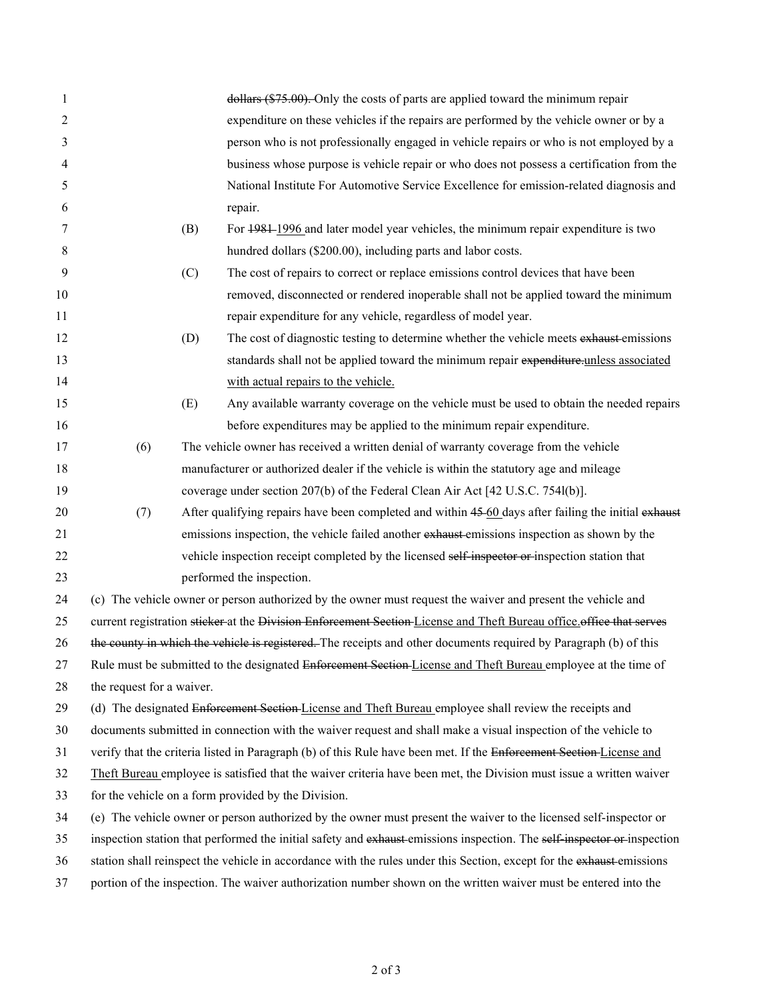| 1  |                                                                                                                         |                                                                                       | dollars (\$75.00). Only the costs of parts are applied toward the minimum repair                                    |  |  |
|----|-------------------------------------------------------------------------------------------------------------------------|---------------------------------------------------------------------------------------|---------------------------------------------------------------------------------------------------------------------|--|--|
| 2  |                                                                                                                         |                                                                                       | expenditure on these vehicles if the repairs are performed by the vehicle owner or by a                             |  |  |
| 3  |                                                                                                                         |                                                                                       | person who is not professionally engaged in vehicle repairs or who is not employed by a                             |  |  |
| 4  |                                                                                                                         |                                                                                       | business whose purpose is vehicle repair or who does not possess a certification from the                           |  |  |
| 5  |                                                                                                                         |                                                                                       | National Institute For Automotive Service Excellence for emission-related diagnosis and                             |  |  |
| 6  |                                                                                                                         |                                                                                       | repair.                                                                                                             |  |  |
| 7  |                                                                                                                         | (B)                                                                                   | For 1981-1996 and later model year vehicles, the minimum repair expenditure is two                                  |  |  |
| 8  |                                                                                                                         |                                                                                       | hundred dollars (\$200.00), including parts and labor costs.                                                        |  |  |
| 9  |                                                                                                                         | (C)                                                                                   | The cost of repairs to correct or replace emissions control devices that have been                                  |  |  |
| 10 |                                                                                                                         |                                                                                       | removed, disconnected or rendered inoperable shall not be applied toward the minimum                                |  |  |
| 11 |                                                                                                                         |                                                                                       | repair expenditure for any vehicle, regardless of model year.                                                       |  |  |
| 12 |                                                                                                                         | (D)                                                                                   | The cost of diagnostic testing to determine whether the vehicle meets exhaust-emissions                             |  |  |
| 13 |                                                                                                                         |                                                                                       | standards shall not be applied toward the minimum repair expenditure-unless associated                              |  |  |
| 14 |                                                                                                                         |                                                                                       | with actual repairs to the vehicle.                                                                                 |  |  |
| 15 |                                                                                                                         | (E)                                                                                   | Any available warranty coverage on the vehicle must be used to obtain the needed repairs                            |  |  |
| 16 |                                                                                                                         |                                                                                       | before expenditures may be applied to the minimum repair expenditure.                                               |  |  |
| 17 | (6)                                                                                                                     | The vehicle owner has received a written denial of warranty coverage from the vehicle |                                                                                                                     |  |  |
| 18 | manufacturer or authorized dealer if the vehicle is within the statutory age and mileage                                |                                                                                       |                                                                                                                     |  |  |
| 19 |                                                                                                                         |                                                                                       | coverage under section 207(b) of the Federal Clean Air Act [42 U.S.C. 754l(b)].                                     |  |  |
| 20 | (7)                                                                                                                     |                                                                                       | After qualifying repairs have been completed and within 45-60 days after failing the initial exhaust                |  |  |
| 21 |                                                                                                                         |                                                                                       | emissions inspection, the vehicle failed another exhaust-emissions inspection as shown by the                       |  |  |
| 22 |                                                                                                                         |                                                                                       | vehicle inspection receipt completed by the licensed self-inspector or inspection station that                      |  |  |
| 23 |                                                                                                                         |                                                                                       | performed the inspection.                                                                                           |  |  |
| 24 |                                                                                                                         |                                                                                       | (c) The vehicle owner or person authorized by the owner must request the waiver and present the vehicle and         |  |  |
| 25 |                                                                                                                         |                                                                                       | current registration sticker at the Division Enforcement Section License and Theft Bureau office office that serves |  |  |
| 26 |                                                                                                                         |                                                                                       | the county in which the vehicle is registered. The receipts and other documents required by Paragraph (b) of this   |  |  |
| 27 | Rule must be submitted to the designated Enforcement Section License and Theft Bureau employee at the time of           |                                                                                       |                                                                                                                     |  |  |
| 28 | the request for a waiver.                                                                                               |                                                                                       |                                                                                                                     |  |  |
| 29 | (d) The designated Enforcement Section License and Theft Bureau employee shall review the receipts and                  |                                                                                       |                                                                                                                     |  |  |
| 30 | documents submitted in connection with the waiver request and shall make a visual inspection of the vehicle to          |                                                                                       |                                                                                                                     |  |  |
| 31 | verify that the criteria listed in Paragraph (b) of this Rule have been met. If the Enforcement Section-License and     |                                                                                       |                                                                                                                     |  |  |
| 32 | Theft Bureau employee is satisfied that the waiver criteria have been met, the Division must issue a written waiver     |                                                                                       |                                                                                                                     |  |  |
| 33 | for the vehicle on a form provided by the Division.                                                                     |                                                                                       |                                                                                                                     |  |  |
| 34 | (e) The vehicle owner or person authorized by the owner must present the waiver to the licensed self-inspector or       |                                                                                       |                                                                                                                     |  |  |
| 35 | inspection station that performed the initial safety and exhaust-emissions inspection. The self-inspector or-inspection |                                                                                       |                                                                                                                     |  |  |
| 36 | station shall reinspect the vehicle in accordance with the rules under this Section, except for the exhaust emissions   |                                                                                       |                                                                                                                     |  |  |
| 37 | portion of the inspection. The waiver authorization number shown on the written waiver must be entered into the         |                                                                                       |                                                                                                                     |  |  |